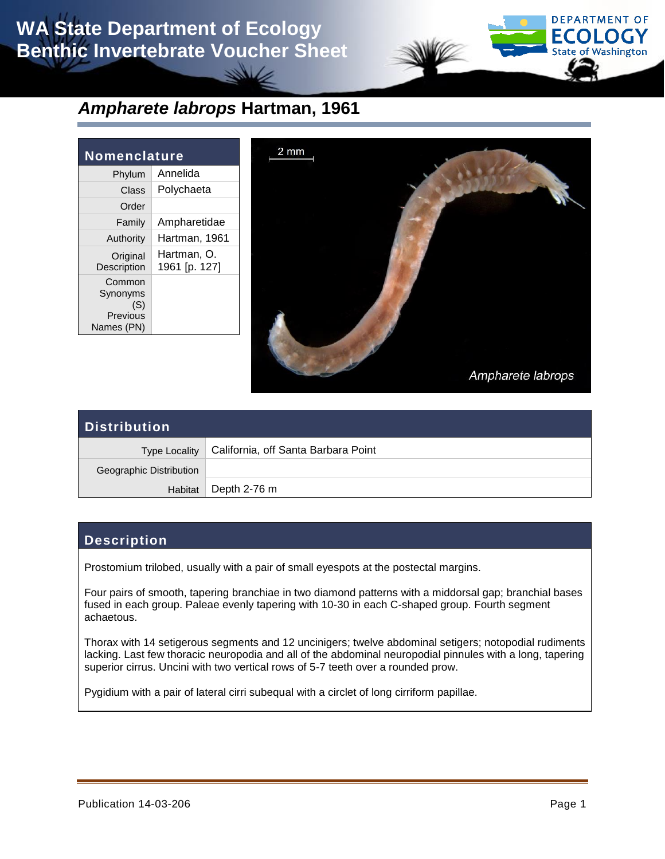# **WA State Department of Ecology Benthic Invertebrate Voucher Sheet**



### *Ampharete labrops* **Hartman, 1961**

| Nomenclature                                        |                              |  |
|-----------------------------------------------------|------------------------------|--|
| Phylum                                              | Annelida                     |  |
| Class                                               | Polychaeta                   |  |
| Order                                               |                              |  |
| Family                                              | Ampharetidae                 |  |
| Authority                                           | Hartman, 1961                |  |
| Original<br>Description                             | Hartman, O.<br>1961 [p. 127] |  |
| Common<br>Synonyms<br>(S)<br>Previous<br>Names (PN) |                              |  |



| <b>Distribution</b>     |                                                     |  |
|-------------------------|-----------------------------------------------------|--|
|                         | Type Locality   California, off Santa Barbara Point |  |
| Geographic Distribution |                                                     |  |
|                         | Habitat Depth 2-76 m                                |  |

### **Description**

Prostomium trilobed, usually with a pair of small eyespots at the postectal margins.

Four pairs of smooth, tapering branchiae in two diamond patterns with a middorsal gap; branchial bases fused in each group. Paleae evenly tapering with 10-30 in each C-shaped group. Fourth segment achaetous.

Thorax with 14 setigerous segments and 12 uncinigers; twelve abdominal setigers; notopodial rudiments lacking. Last few thoracic neuropodia and all of the abdominal neuropodial pinnules with a long, tapering superior cirrus. Uncini with two vertical rows of 5-7 teeth over a rounded prow.

Pygidium with a pair of lateral cirri subequal with a circlet of long cirriform papillae.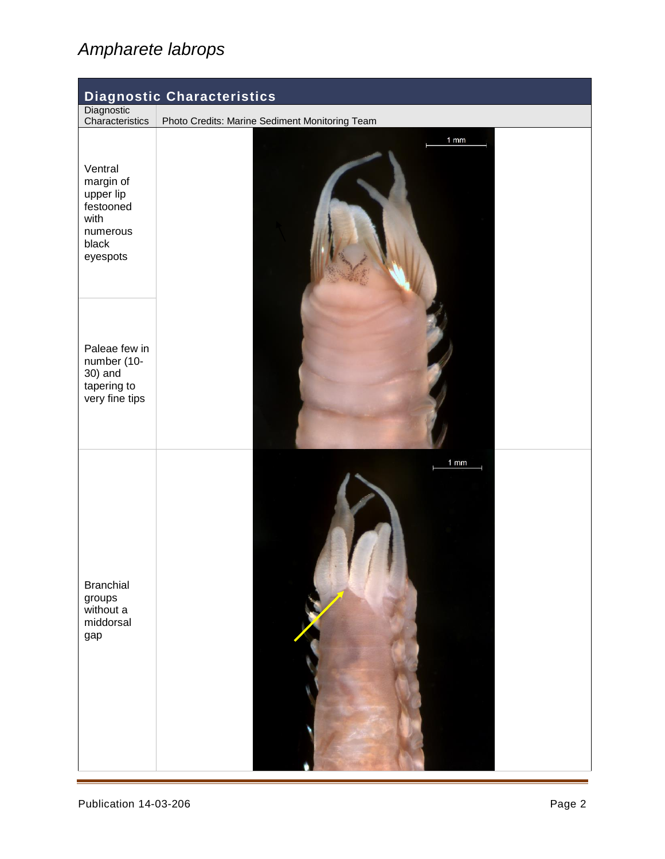# *Ampharete labrops*

| <b>Diagnostic Characteristics</b>                                                       |                                                |  |
|-----------------------------------------------------------------------------------------|------------------------------------------------|--|
| Diagnostic<br>Characteristics                                                           | Photo Credits: Marine Sediment Monitoring Team |  |
| Ventral<br>margin of<br>upper lip<br>festooned<br>with<br>numerous<br>black<br>eyespots | $1$ mm                                         |  |
| Paleae few in<br>number (10-<br>30) and<br>tapering to<br>very fine tips                |                                                |  |
| <b>Branchial</b><br>groups<br>without a<br>middorsal<br>gap                             | $1$ mm                                         |  |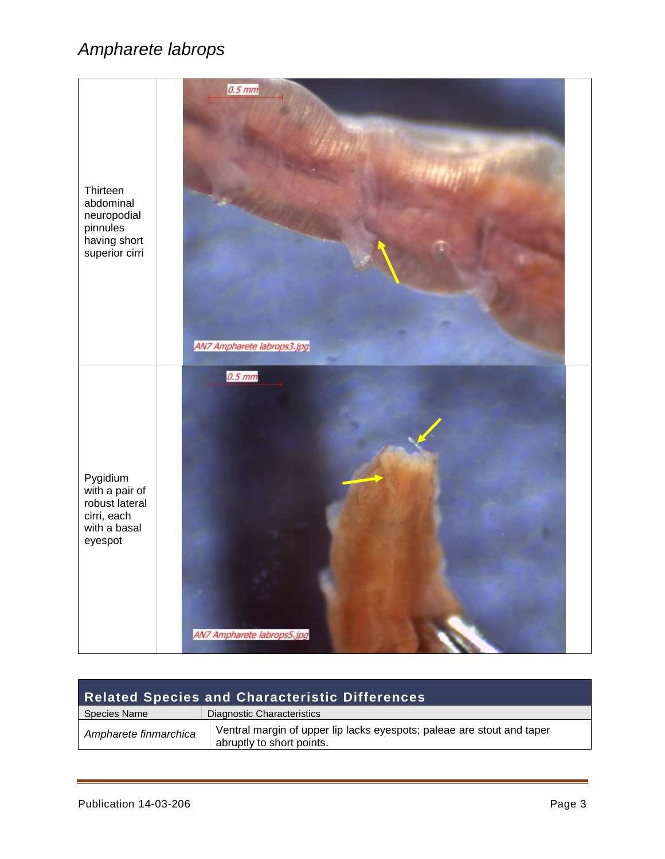## *Ampharete labrops*



| <b>Related Species and Characteristic Differences</b> |                                                                                                     |  |
|-------------------------------------------------------|-----------------------------------------------------------------------------------------------------|--|
| Species Name                                          | Diagnostic Characteristics                                                                          |  |
| Ampharete finmarchica                                 | Ventral margin of upper lip lacks eyespots; paleae are stout and taper<br>abruptly to short points. |  |